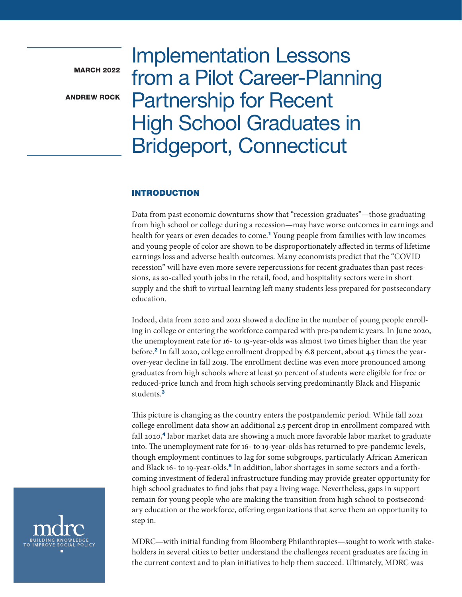<span id="page-0-0"></span>**MARCH 2022** 

ANDREW ROCK

Implementation Lessons from a Pilot Career-Planning Partnership for Recent High School Graduates in Bridgeport, Connecticut

### INTRODUCTION

Data from past economic downturns show that "recession graduates"—those graduating from high school or college during a recession—may have worse outcomes in earnings and health for years or even decades to come.<sup>[1](#page-8-0)</sup> Young people from families with low incomes and young people of color are shown to be disproportionately affected in terms of lifetime earnings loss and adverse health outcomes. Many economists predict that the "COVID recession" will have even more severe repercussions for recent graduates than past recessions, as so-called youth jobs in the retail, food, and hospitality sectors were in short supply and the shift to virtual learning left many students less prepared for postsecondary education.

Indeed, data from 2020 and 2021 showed a decline in the number of young people enrolling in college or entering the workforce compared with pre-pandemic years. In June 2020, the unemployment rate for 16- to 19-year-olds was almost two times higher than the year before.[2](#page-8-0) In fall 2020, college enrollment dropped by 6.8 percent, about 4.5 times the yearover-year decline in fall 2019. The enrollment decline was even more pronounced among graduates from high schools where at least 50 percent of students were eligible for free or reduced-price lunch and from high schools serving predominantly Black and Hispanic students.<sup>[3](#page-8-0)</sup>

This picture is changing as the country enters the postpandemic period. While fall 2021 college enrollment data show an additional 2.5 percent drop in enrollment compared with fall 2020,<sup>[4](#page-8-0)</sup> labor market data are showing a much more favorable labor market to graduate into. The unemployment rate for 16- to 19-year-olds has returned to pre-pandemic levels, though employment continues to lag for some subgroups, particularly African American and Black 16- to 19-year-olds.<sup>[5](#page-8-0)</sup> In addition, labor shortages in some sectors and a forthcoming investment of federal infrastructure funding may provide greater opportunity for high school graduates to find jobs that pay a living wage. Nevertheless, gaps in support remain for young people who are making the transition from high school to postsecondary education or the workforce, offering organizations that serve them an opportunity to step in.



MDRC—with initial funding from Bloomberg Philanthropies—sought to work with stakeholders in several cities to better understand the challenges recent graduates are facing in the current context and to plan initiatives to help them succeed. Ultimately, MDRC was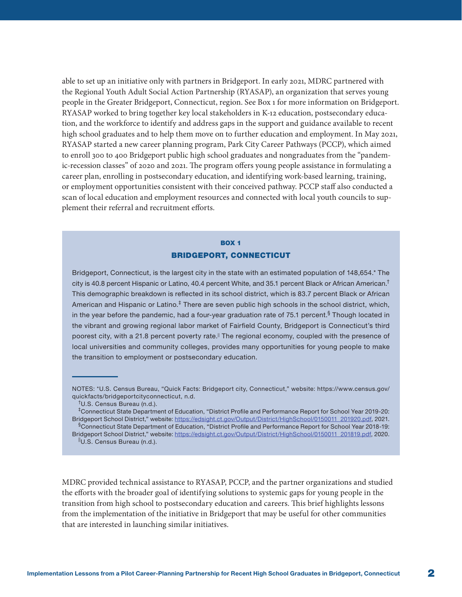able to set up an initiative only with partners in Bridgeport. In early 2021, MDRC partnered with the Regional Youth Adult Social Action Partnership (RYASAP), an organization that serves young people in the Greater Bridgeport, Connecticut, region. See Box 1 for more information on Bridgeport. RYASAP worked to bring together key local stakeholders in K-12 education, postsecondary education, and the workforce to identify and address gaps in the support and guidance available to recent high school graduates and to help them move on to further education and employment. In May 2021, RYASAP started a new career planning program, Park City Career Pathways (PCCP), which aimed to enroll 300 to 400 Bridgeport public high school graduates and nongraduates from the "pandemic-recession classes" of 2020 and 2021. The program offers young people assistance in formulating a career plan, enrolling in postsecondary education, and identifying work-based learning, training, or employment opportunities consistent with their conceived pathway. PCCP staff also conducted a scan of local education and employment resources and connected with local youth councils to supplement their referral and recruitment efforts.

# BOX 1 BRIDGEPORT, CONNECTICUT

Bridgeport, Connecticut, is the largest city in the state with an estimated population of 148,654.\* The city is 40.8 percent Hispanic or Latino, 40.4 percent White, and 35.1 percent Black or African American.<sup>†</sup> This demographic breakdown is reflected in its school district, which is 83.7 percent Black or African American and Hispanic or Latino. $<sup>‡</sup>$  There are seven public high schools in the school district, which,</sup> in the year before the pandemic, had a four-year graduation rate of 75.1 percent.<sup>§</sup> Though located in the vibrant and growing regional labor market of Fairfield County, Bridgeport is Connecticut's third poorest city, with a 21.8 percent poverty rate.<sup>||</sup> The regional economy, coupled with the presence of local universities and community colleges, provides many opportunities for young people to make the transition to employment or postsecondary education.

MDRC provided technical assistance to RYASAP, PCCP, and the partner organizations and studied the efforts with the broader goal of identifying solutions to systemic gaps for young people in the transition from high school to postsecondary education and careers. This brief highlights lessons from the implementation of the initiative in Bridgeport that may be useful for other communities that are interested in launching similar initiatives.

NOTES: \*U.S. Census Bureau, "Quick Facts: Bridgeport city, Connecticut," website: https://www.census.gov/ quickfacts/bridgeportcityconnecticut, n.d.

<sup>†</sup>U.S. Census Bureau (n.d.).

<sup>‡</sup>Connecticut State Department of Education, "District Profile and Performance Report for School Year 2019-20: Bridgeport School District," website: [https://edsight.ct.gov/Output/District/HighSchool/0150011\\_201920.pdf](https://edsight.ct.gov/Output/District/HighSchool/0150011_201920.pdf), 2021. §Connecticut State Department of Education, "District Profile and Performance Report for School Year 2018-19:

Bridgeport School District," website: [https://edsight.ct.gov/Output/District/HighSchool/0150011\\_201819.pdf,](https://edsight.ct.gov/Output/District/HighSchool/0150011_201819.pdf) 2020. ||U.S. Census Bureau (n.d.).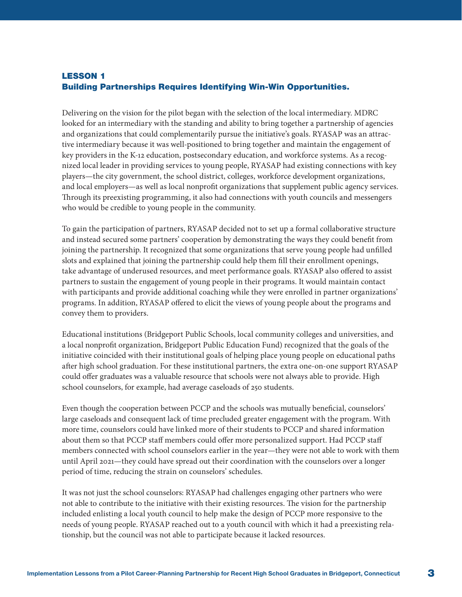# LESSON 1 Building Partnerships Requires Identifying Win-Win Opportunities.

Delivering on the vision for the pilot began with the selection of the local intermediary. MDRC looked for an intermediary with the standing and ability to bring together a partnership of agencies and organizations that could complementarily pursue the initiative's goals. RYASAP was an attractive intermediary because it was well-positioned to bring together and maintain the engagement of key providers in the K-12 education, postsecondary education, and workforce systems. As a recognized local leader in providing services to young people, RYASAP had existing connections with key players—the city government, the school district, colleges, workforce development organizations, and local employers—as well as local nonprofit organizations that supplement public agency services. Through its preexisting programming, it also had connections with youth councils and messengers who would be credible to young people in the community.

To gain the participation of partners, RYASAP decided not to set up a formal collaborative structure and instead secured some partners' cooperation by demonstrating the ways they could benefit from joining the partnership. It recognized that some organizations that serve young people had unfilled slots and explained that joining the partnership could help them fill their enrollment openings, take advantage of underused resources, and meet performance goals. RYASAP also offered to assist partners to sustain the engagement of young people in their programs. It would maintain contact with participants and provide additional coaching while they were enrolled in partner organizations' programs. In addition, RYASAP offered to elicit the views of young people about the programs and convey them to providers.

Educational institutions (Bridgeport Public Schools, local community colleges and universities, and a local nonprofit organization, Bridgeport Public Education Fund) recognized that the goals of the initiative coincided with their institutional goals of helping place young people on educational paths after high school graduation. For these institutional partners, the extra one-on-one support RYASAP could offer graduates was a valuable resource that schools were not always able to provide. High school counselors, for example, had average caseloads of 250 students.

Even though the cooperation between PCCP and the schools was mutually beneficial, counselors' large caseloads and consequent lack of time precluded greater engagement with the program. With more time, counselors could have linked more of their students to PCCP and shared information about them so that PCCP staff members could offer more personalized support. Had PCCP staff members connected with school counselors earlier in the year—they were not able to work with them until April 2021—they could have spread out their coordination with the counselors over a longer period of time, reducing the strain on counselors' schedules.

It was not just the school counselors: RYASAP had challenges engaging other partners who were not able to contribute to the initiative with their existing resources. The vision for the partnership included enlisting a local youth council to help make the design of PCCP more responsive to the needs of young people. RYASAP reached out to a youth council with which it had a preexisting relationship, but the council was not able to participate because it lacked resources.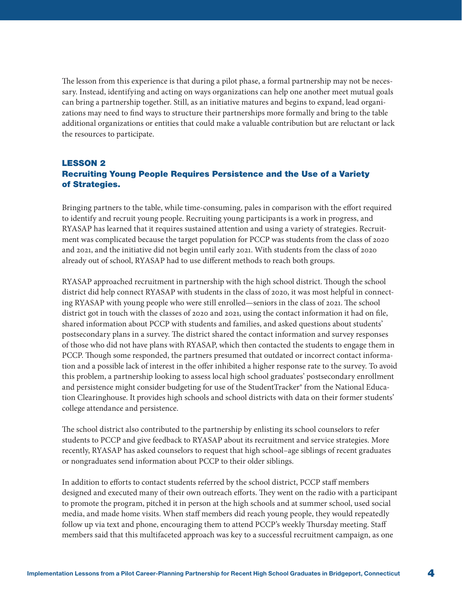The lesson from this experience is that during a pilot phase, a formal partnership may not be necessary. Instead, identifying and acting on ways organizations can help one another meet mutual goals can bring a partnership together. Still, as an initiative matures and begins to expand, lead organizations may need to find ways to structure their partnerships more formally and bring to the table additional organizations or entities that could make a valuable contribution but are reluctant or lack the resources to participate.

# LESSON 2 Recruiting Young People Requires Persistence and the Use of a Variety of Strategies.

Bringing partners to the table, while time-consuming, pales in comparison with the effort required to identify and recruit young people. Recruiting young participants is a work in progress, and RYASAP has learned that it requires sustained attention and using a variety of strategies. Recruitment was complicated because the target population for PCCP was students from the class of 2020 and 2021, and the initiative did not begin until early 2021. With students from the class of 2020 already out of school, RYASAP had to use different methods to reach both groups.

RYASAP approached recruitment in partnership with the high school district. Though the school district did help connect RYASAP with students in the class of 2020, it was most helpful in connecting RYASAP with young people who were still enrolled—seniors in the class of 2021. The school district got in touch with the classes of 2020 and 2021, using the contact information it had on file, shared information about PCCP with students and families, and asked questions about students' postsecondary plans in a survey. The district shared the contact information and survey responses of those who did not have plans with RYASAP, which then contacted the students to engage them in PCCP. Though some responded, the partners presumed that outdated or incorrect contact information and a possible lack of interest in the offer inhibited a higher response rate to the survey. To avoid this problem, a partnership looking to assess local high school graduates' postsecondary enrollment and persistence might consider budgeting for use of the StudentTracker® from the National Education Clearinghouse. It provides high schools and school districts with data on their former students' college attendance and persistence.

The school district also contributed to the partnership by enlisting its school counselors to refer students to PCCP and give feedback to RYASAP about its recruitment and service strategies. More recently, RYASAP has asked counselors to request that high school–age siblings of recent graduates or nongraduates send information about PCCP to their older siblings.

In addition to efforts to contact students referred by the school district, PCCP staff members designed and executed many of their own outreach efforts. They went on the radio with a participant to promote the program, pitched it in person at the high schools and at summer school, used social media, and made home visits. When staff members did reach young people, they would repeatedly follow up via text and phone, encouraging them to attend PCCP's weekly Thursday meeting. Staff members said that this multifaceted approach was key to a successful recruitment campaign, as one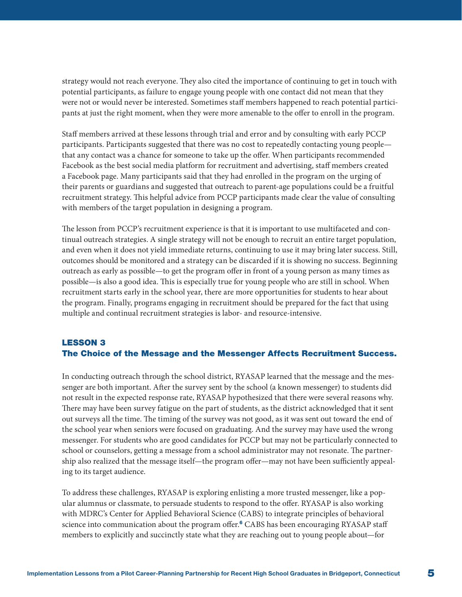<span id="page-4-0"></span>strategy would not reach everyone. They also cited the importance of continuing to get in touch with potential participants, as failure to engage young people with one contact did not mean that they were not or would never be interested. Sometimes staff members happened to reach potential participants at just the right moment, when they were more amenable to the offer to enroll in the program.

Staff members arrived at these lessons through trial and error and by consulting with early PCCP participants. Participants suggested that there was no cost to repeatedly contacting young people that any contact was a chance for someone to take up the offer. When participants recommended Facebook as the best social media platform for recruitment and advertising, staff members created a Facebook page. Many participants said that they had enrolled in the program on the urging of their parents or guardians and suggested that outreach to parent-age populations could be a fruitful recruitment strategy. This helpful advice from PCCP participants made clear the value of consulting with members of the target population in designing a program.

The lesson from PCCP's recruitment experience is that it is important to use multifaceted and continual outreach strategies. A single strategy will not be enough to recruit an entire target population, and even when it does not yield immediate returns, continuing to use it may bring later success. Still, outcomes should be monitored and a strategy can be discarded if it is showing no success. Beginning outreach as early as possible—to get the program offer in front of a young person as many times as possible—is also a good idea. This is especially true for young people who are still in school. When recruitment starts early in the school year, there are more opportunities for students to hear about the program. Finally, programs engaging in recruitment should be prepared for the fact that using multiple and continual recruitment strategies is labor- and resource-intensive.

# LESSON 3 The Choice of the Message and the Messenger Affects Recruitment Success.

In conducting outreach through the school district, RYASAP learned that the message and the messenger are both important. After the survey sent by the school (a known messenger) to students did not result in the expected response rate, RYASAP hypothesized that there were several reasons why. There may have been survey fatigue on the part of students, as the district acknowledged that it sent out surveys all the time. The timing of the survey was not good, as it was sent out toward the end of the school year when seniors were focused on graduating. And the survey may have used the wrong messenger. For students who are good candidates for PCCP but may not be particularly connected to school or counselors, getting a message from a school administrator may not resonate. The partnership also realized that the message itself—the program offer—may not have been sufficiently appealing to its target audience.

To address these challenges, RYASAP is exploring enlisting a more trusted messenger, like a popular alumnus or classmate, to persuade students to respond to the offer. RYASAP is also working with MDRC's Center for Applied Behavioral Science (CABS) to integrate principles of behavioral science into communication about the program offer.<sup>[6](#page-8-0)</sup> CABS has been encouraging RYASAP staff members to explicitly and succinctly state what they are reaching out to young people about—for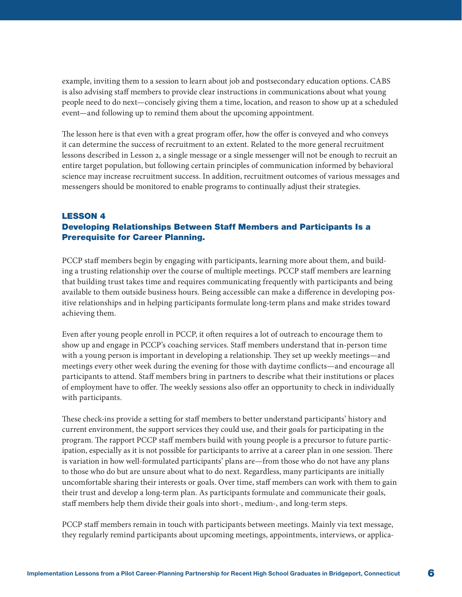example, inviting them to a session to learn about job and postsecondary education options. CABS is also advising staff members to provide clear instructions in communications about what young people need to do next—concisely giving them a time, location, and reason to show up at a scheduled event—and following up to remind them about the upcoming appointment.

The lesson here is that even with a great program offer, how the offer is conveyed and who conveys it can determine the success of recruitment to an extent. Related to the more general recruitment lessons described in Lesson 2, a single message or a single messenger will not be enough to recruit an entire target population, but following certain principles of communication informed by behavioral science may increase recruitment success. In addition, recruitment outcomes of various messages and messengers should be monitored to enable programs to continually adjust their strategies.

# LESSON 4 Developing Relationships Between Staff Members and Participants Is a Prerequisite for Career Planning.

PCCP staff members begin by engaging with participants, learning more about them, and building a trusting relationship over the course of multiple meetings. PCCP staff members are learning that building trust takes time and requires communicating frequently with participants and being available to them outside business hours. Being accessible can make a difference in developing positive relationships and in helping participants formulate long-term plans and make strides toward achieving them.

Even after young people enroll in PCCP, it often requires a lot of outreach to encourage them to show up and engage in PCCP's coaching services. Staff members understand that in-person time with a young person is important in developing a relationship. They set up weekly meetings—and meetings every other week during the evening for those with daytime conflicts—and encourage all participants to attend. Staff members bring in partners to describe what their institutions or places of employment have to offer. The weekly sessions also offer an opportunity to check in individually with participants.

These check-ins provide a setting for staff members to better understand participants' history and current environment, the support services they could use, and their goals for participating in the program. The rapport PCCP staff members build with young people is a precursor to future participation, especially as it is not possible for participants to arrive at a career plan in one session. There is variation in how well-formulated participants' plans are—from those who do not have any plans to those who do but are unsure about what to do next. Regardless, many participants are initially uncomfortable sharing their interests or goals. Over time, staff members can work with them to gain their trust and develop a long-term plan. As participants formulate and communicate their goals, staff members help them divide their goals into short-, medium-, and long-term steps.

PCCP staff members remain in touch with participants between meetings. Mainly via text message, they regularly remind participants about upcoming meetings, appointments, interviews, or applica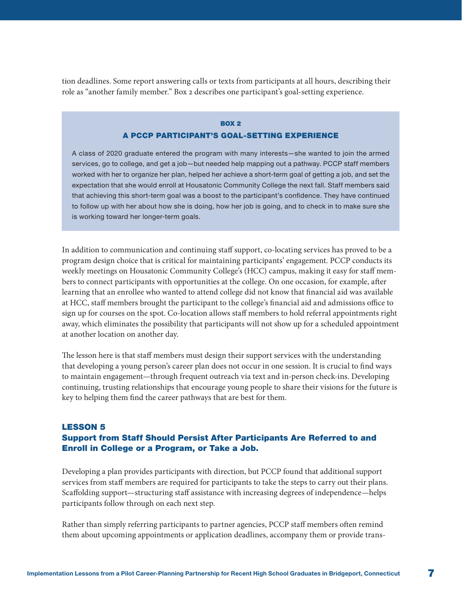tion deadlines. Some report answering calls or texts from participants at all hours, describing their role as "another family member." Box 2 describes one participant's goal-setting experience.

### **BOX 2** A PCCP PARTICIPANT'S GOAL-SETTING EXPERIENCE

A class of 2020 graduate entered the program with many interests—she wanted to join the armed services, go to college, and get a job—but needed help mapping out a pathway. PCCP staff members worked with her to organize her plan, helped her achieve a short-term goal of getting a job, and set the expectation that she would enroll at Housatonic Community College the next fall. Staff members said that achieving this short-term goal was a boost to the participant's confidence. They have continued to follow up with her about how she is doing, how her job is going, and to check in to make sure she is working toward her longer-term goals.

In addition to communication and continuing staff support, co-locating services has proved to be a program design choice that is critical for maintaining participants' engagement. PCCP conducts its weekly meetings on Housatonic Community College's (HCC) campus, making it easy for staff members to connect participants with opportunities at the college. On one occasion, for example, after learning that an enrollee who wanted to attend college did not know that financial aid was available at HCC, staff members brought the participant to the college's financial aid and admissions office to sign up for courses on the spot. Co-location allows staff members to hold referral appointments right away, which eliminates the possibility that participants will not show up for a scheduled appointment at another location on another day.

The lesson here is that staff members must design their support services with the understanding that developing a young person's career plan does not occur in one session. It is crucial to find ways to maintain engagement—through frequent outreach via text and in-person check-ins. Developing continuing, trusting relationships that encourage young people to share their visions for the future is key to helping them find the career pathways that are best for them.

# LESSON 5 Support from Staff Should Persist After Participants Are Referred to and Enroll in College or a Program, or Take a Job.

Developing a plan provides participants with direction, but PCCP found that additional support services from staff members are required for participants to take the steps to carry out their plans. Scaffolding support—structuring staff assistance with increasing degrees of independence—helps participants follow through on each next step.

Rather than simply referring participants to partner agencies, PCCP staff members often remind them about upcoming appointments or application deadlines, accompany them or provide trans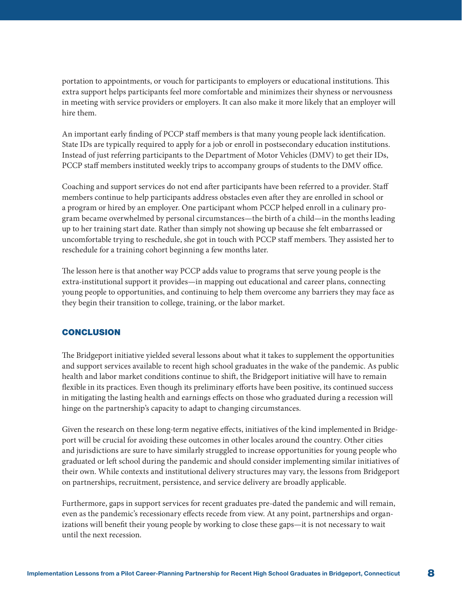portation to appointments, or vouch for participants to employers or educational institutions. This extra support helps participants feel more comfortable and minimizes their shyness or nervousness in meeting with service providers or employers. It can also make it more likely that an employer will hire them.

An important early finding of PCCP staff members is that many young people lack identification. State IDs are typically required to apply for a job or enroll in postsecondary education institutions. Instead of just referring participants to the Department of Motor Vehicles (DMV) to get their IDs, PCCP staff members instituted weekly trips to accompany groups of students to the DMV office.

Coaching and support services do not end after participants have been referred to a provider. Staff members continue to help participants address obstacles even after they are enrolled in school or a program or hired by an employer. One participant whom PCCP helped enroll in a culinary program became overwhelmed by personal circumstances—the birth of a child—in the months leading up to her training start date. Rather than simply not showing up because she felt embarrassed or uncomfortable trying to reschedule, she got in touch with PCCP staff members. They assisted her to reschedule for a training cohort beginning a few months later.

The lesson here is that another way PCCP adds value to programs that serve young people is the extra-institutional support it provides—in mapping out educational and career plans, connecting young people to opportunities, and continuing to help them overcome any barriers they may face as they begin their transition to college, training, or the labor market.

### **CONCLUSION**

The Bridgeport initiative yielded several lessons about what it takes to supplement the opportunities and support services available to recent high school graduates in the wake of the pandemic. As public health and labor market conditions continue to shift, the Bridgeport initiative will have to remain flexible in its practices. Even though its preliminary efforts have been positive, its continued success in mitigating the lasting health and earnings effects on those who graduated during a recession will hinge on the partnership's capacity to adapt to changing circumstances.

Given the research on these long-term negative effects, initiatives of the kind implemented in Bridgeport will be crucial for avoiding these outcomes in other locales around the country. Other cities and jurisdictions are sure to have similarly struggled to increase opportunities for young people who graduated or left school during the pandemic and should consider implementing similar initiatives of their own. While contexts and institutional delivery structures may vary, the lessons from Bridgeport on partnerships, recruitment, persistence, and service delivery are broadly applicable.

Furthermore, gaps in support services for recent graduates pre-dated the pandemic and will remain, even as the pandemic's recessionary effects recede from view. At any point, partnerships and organizations will benefit their young people by working to close these gaps—it is not necessary to wait until the next recession.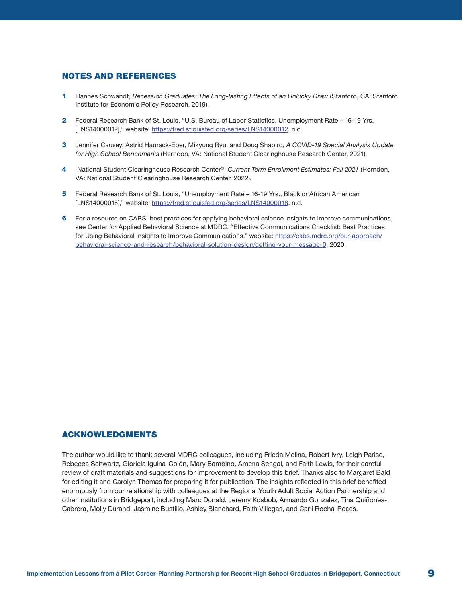#### <span id="page-8-0"></span>NOTES AND REFERENCES

- [1](#page-0-0) Hannes Schwandt, *Recession Graduates: The Long-lasting Effects of an Unlucky Draw* (Stanford, CA: Stanford Institute for Economic Policy Research, 2019).
- [2](#page-0-0) Federal Research Bank of St. Louis, "U.S. Bureau of Labor Statistics, Unemployment Rate 16-19 Yrs. [LNS14000012]," website: [https://fred.stlouisfed.org/series/LNS14000012,](https://fred.stlouisfed.org/series/LNS14000012) n.d.
- [3](#page-0-0) Jennifer Causey, Astrid Harnack-Eber, Mikyung Ryu, and Doug Shapiro, *A COVID-19 Special Analysis Update for High School Benchmarks* (Herndon, VA: National Student Clearinghouse Research Center, 2021).
- [4](#page-0-0) National Student Clearinghouse Research Center©, *Current Term Enrollment Estimates: Fall 2021* (Herndon, VA: National Student Clearinghouse Research Center, 2022).
- [5](#page-0-0) Federal Research Bank of St. Louis, "Unemployment Rate 16-19 Yrs., Black or African American [LNS14000018]," website:<https://fred.stlouisfed.org/series/LNS14000018>, n.d.
- [6](#page-4-0) For a resource on CABS' best practices for applying behavioral science insights to improve communications, see Center for Applied Behavioral Science at MDRC, "Effective Communications Checklist: Best Practices for Using Behavioral Insights to Improve Communications," website: [https://cabs.mdrc.org/our-approach/](https://cabs.mdrc.org/our-approach/behavioral-science-and-research/behavioral-solution-design/getting-your-message-0) [behavioral-science-and-research/behavioral-solution-design/getting-your-message-0](https://cabs.mdrc.org/our-approach/behavioral-science-and-research/behavioral-solution-design/getting-your-message-0), 2020.

#### ACKNOWLEDGMENTS

The author would like to thank several MDRC colleagues, including Frieda Molina, Robert Ivry, Leigh Parise, Rebecca Schwartz, Gloriela Iguina-Colón, Mary Bambino, Amena Sengal, and Faith Lewis, for their careful review of draft materials and suggestions for improvement to develop this brief. Thanks also to Margaret Bald for editing it and Carolyn Thomas for preparing it for publication. The insights reflected in this brief benefited enormously from our relationship with colleagues at the Regional Youth Adult Social Action Partnership and other institutions in Bridgeport, including Marc Donald, Jeremy Kosbob, Armando Gonzalez, Tina Quiñones-Cabrera, Molly Durand, Jasmine Bustillo, Ashley Blanchard, Faith Villegas, and Carli Rocha-Reaes.